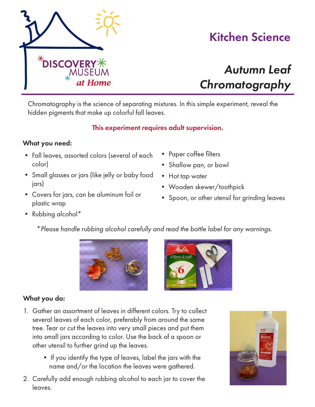

# Kitchen Science

# *Autumn Leaf Chromatography*

Chromatography is the science of separating mixtures. In this simple experiment, reveal the hidden pigments that make up colorful fall leaves.

### This experiment requires adult supervision.

#### What you need:

- Fall leaves, assorted colors (several of each color)
- Small glasses or jars (like jelly or baby food jars)
- Covers for jars, can be aluminum foil or plastic wrap
- Paper coffee filters
- Shallow pan, or bowl
- Hot tap water
- Wooden skewer/toothpick
- Spoon, or other utensil for grinding leaves

- Rubbing alcohol\*
	- \**Please handle rubbing alcohol carefully and read the bottle label for any warnings.*





### What you do:

- 1. Gather an assortment of leaves in different colors. Try to collect several leaves of each color, preferably from around the same tree. Tear or cut the leaves into very small pieces and put them into small jars according to color. Use the back of a spoon or other utensil to further grind up the leaves.
	- If you identify the type of leaves, label the jars with the name and/or the location the leaves were gathered.
- 2. Carefully add enough rubbing alcohol to each jar to cover the leaves.